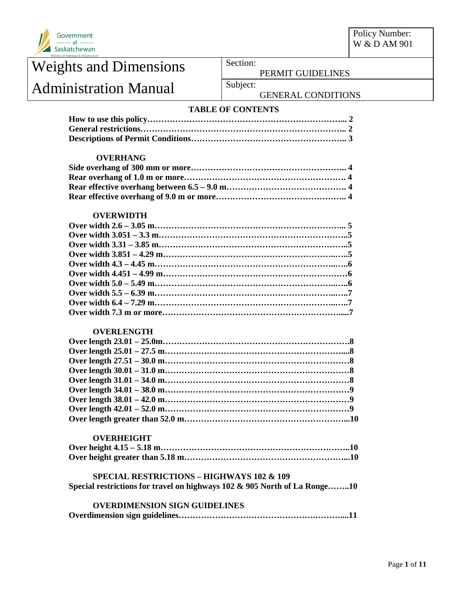

Policy Number: W & D AM 901

## Weights and Dimensions Section: Administration Manual Subject:

PERMIT GUIDELINES

### GENERAL CONDITIONS

### **TABLE OF CONTENTS**

#### **OVERHANG**

#### **OVERWIDTH**

#### **OVERLENGTH**

#### **OVERHEIGHT**

#### **SPECIAL RESTRICTIONS – HIGHWAYS 102 & 109 Special restrictions for travel on highways 102 & 905 North of La Ronge……..10**

#### **OVERDIMENSION SIGN GUIDELINES Overdimension sign guidelines………………………………………….………....11**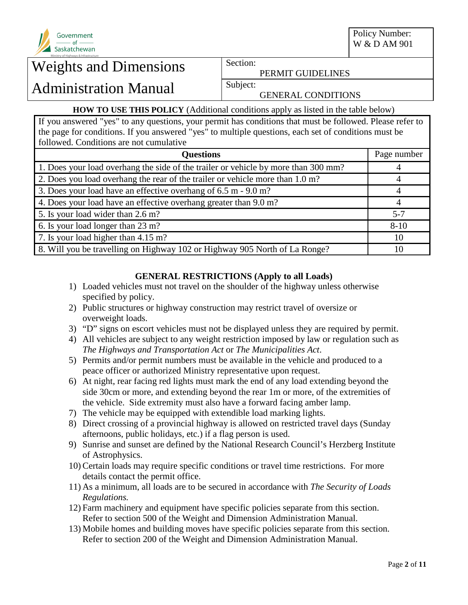

PERMIT GUIDELINES

## Administration Manual Subject:

GENERAL CONDITIONS

### **HOW TO USE THIS POLICY** (Additional conditions apply as listed in the table below)

If you answered "yes" to any questions, your permit has conditions that must be followed. Please refer to the page for conditions. If you answered "yes" to multiple questions, each set of conditions must be followed. Conditions are not cumulative

| <b>Questions</b>                                                                   | Page number |
|------------------------------------------------------------------------------------|-------------|
| 1. Does your load overhang the side of the trailer or vehicle by more than 300 mm? |             |
| 2. Does you load overhang the rear of the trailer or vehicle more than 1.0 m?      |             |
| 3. Does your load have an effective overhang of 6.5 m - 9.0 m?                     |             |
| 4. Does your load have an effective overhang greater than 9.0 m?                   |             |
| 5. Is your load wider than 2.6 m?                                                  | $5 - 7$     |
| 6. Is your load longer than 23 m?                                                  | $8 - 10$    |
| 7. Is your load higher than 4.15 m?                                                | 10          |
| 8. Will you be travelling on Highway 102 or Highway 905 North of La Ronge?         | 10          |

### **GENERAL RESTRICTIONS (Apply to all Loads)**

- 1) Loaded vehicles must not travel on the shoulder of the highway unless otherwise specified by policy.
- 2) Public structures or highway construction may restrict travel of oversize or overweight loads.
- 3) "D" signs on escort vehicles must not be displayed unless they are required by permit.
- 4) All vehicles are subject to any weight restriction imposed by law or regulation such as *The Highways and Transportation Act* or *The Municipalities Act*.
- 5) Permits and/or permit numbers must be available in the vehicle and produced to a peace officer or authorized Ministry representative upon request.
- 6) At night, rear facing red lights must mark the end of any load extending beyond the side 30cm or more, and extending beyond the rear 1m or more, of the extremities of the vehicle. Side extremity must also have a forward facing amber lamp.
- 7) The vehicle may be equipped with extendible load marking lights.
- 8) Direct crossing of a provincial highway is allowed on restricted travel days (Sunday afternoons, public holidays, etc.) if a flag person is used.
- 9) Sunrise and sunset are defined by the National Research Council's Herzberg Institute of Astrophysics.
- 10) Certain loads may require specific conditions or travel time restrictions. For more details contact the permit office.
- 11) As a minimum, all loads are to be secured in accordance with *The Security of Loads Regulations.*
- 12) Farm machinery and equipment have specific policies separate from this section. Refer to section 500 of the Weight and Dimension Administration Manual.
- 13) Mobile homes and building moves have specific policies separate from this section. Refer to section 200 of the Weight and Dimension Administration Manual.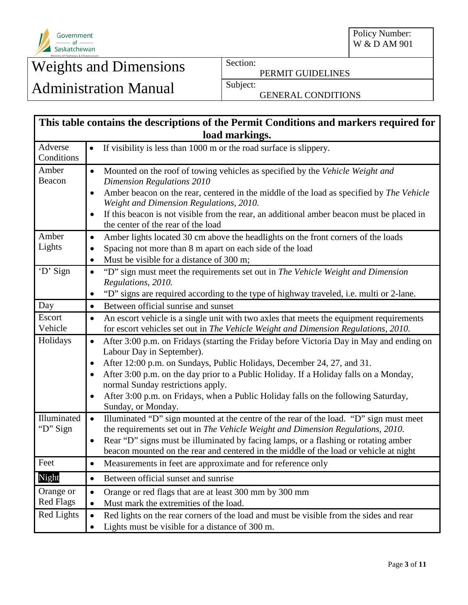

Policy Number: W & D AM 901

# Weights and Dimensions Section:

PERMIT GUIDELINES

# Administration Manual Subject:

GENERAL CONDITIONS

| This table contains the descriptions of the Permit Conditions and markers required for |                                                                                                                                                                                            |  |
|----------------------------------------------------------------------------------------|--------------------------------------------------------------------------------------------------------------------------------------------------------------------------------------------|--|
|                                                                                        | load markings.                                                                                                                                                                             |  |
| Adverse<br>Conditions                                                                  | If visibility is less than 1000 m or the road surface is slippery.<br>$\bullet$                                                                                                            |  |
| Amber<br>Beacon                                                                        | Mounted on the roof of towing vehicles as specified by the Vehicle Weight and<br>$\bullet$<br><b>Dimension Regulations 2010</b>                                                            |  |
|                                                                                        | Amber beacon on the rear, centered in the middle of the load as specified by The Vehicle<br>Weight and Dimension Regulations, 2010.                                                        |  |
|                                                                                        | If this beacon is not visible from the rear, an additional amber beacon must be placed in<br>the center of the rear of the load                                                            |  |
| Amber                                                                                  | Amber lights located 30 cm above the headlights on the front corners of the loads<br>$\bullet$                                                                                             |  |
| Lights                                                                                 | Spacing not more than 8 m apart on each side of the load<br>$\bullet$                                                                                                                      |  |
|                                                                                        | Must be visible for a distance of 300 m;<br>٠                                                                                                                                              |  |
| 'D' Sign                                                                               | "D" sign must meet the requirements set out in The Vehicle Weight and Dimension<br>$\bullet$<br>Regulations, 2010.                                                                         |  |
|                                                                                        | "D" signs are required according to the type of highway traveled, i.e. multi or 2-lane.<br>$\bullet$                                                                                       |  |
| Day                                                                                    | Between official sunrise and sunset<br>$\bullet$                                                                                                                                           |  |
| Escort<br>Vehicle                                                                      | An escort vehicle is a single unit with two axles that meets the equipment requirements<br>$\bullet$<br>for escort vehicles set out in The Vehicle Weight and Dimension Regulations, 2010. |  |
| Holidays                                                                               | After 3:00 p.m. on Fridays (starting the Friday before Victoria Day in May and ending on<br>$\bullet$<br>Labour Day in September).                                                         |  |
|                                                                                        | After 12:00 p.m. on Sundays, Public Holidays, December 24, 27, and 31.<br>$\bullet$                                                                                                        |  |
|                                                                                        | After 3:00 p.m. on the day prior to a Public Holiday. If a Holiday falls on a Monday,<br>normal Sunday restrictions apply.                                                                 |  |
|                                                                                        | After 3:00 p.m. on Fridays, when a Public Holiday falls on the following Saturday,<br>$\bullet$<br>Sunday, or Monday.                                                                      |  |
| Illuminated<br>"D" Sign                                                                | Illuminated "D" sign mounted at the centre of the rear of the load. "D" sign must meet<br>$\bullet$<br>the requirements set out in The Vehicle Weight and Dimension Regulations, 2010.     |  |
|                                                                                        | Rear "D" signs must be illuminated by facing lamps, or a flashing or rotating amber<br>$\bullet$                                                                                           |  |
| Feet                                                                                   | beacon mounted on the rear and centered in the middle of the load or vehicle at night                                                                                                      |  |
|                                                                                        | Measurements in feet are approximate and for reference only<br>٠                                                                                                                           |  |
| Night                                                                                  | Between official sunset and sunrise<br>$\bullet$                                                                                                                                           |  |
| Orange or                                                                              | Orange or red flags that are at least 300 mm by 300 mm<br>$\bullet$                                                                                                                        |  |
| <b>Red Flags</b>                                                                       | Must mark the extremities of the load.<br>$\bullet$                                                                                                                                        |  |
| Red Lights                                                                             | Red lights on the rear corners of the load and must be visible from the sides and rear<br>$\bullet$<br>Lights must be visible for a distance of 300 m.<br>$\bullet$                        |  |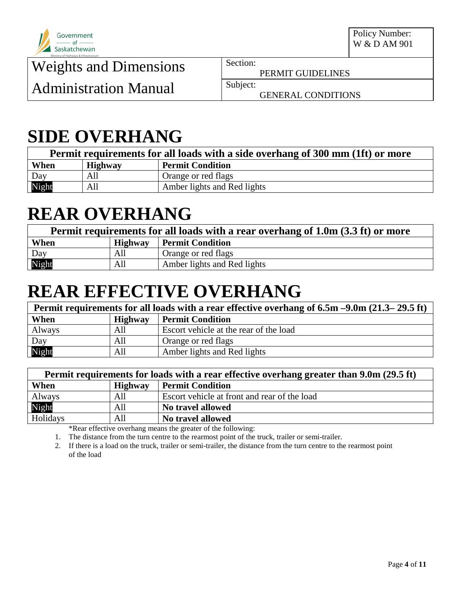

PERMIT GUIDELINES

Administration Manual Subject:

GENERAL CONDITIONS

## **SIDE OVERHANG**

| Permit requirements for all loads with a side overhang of 300 mm (1ft) or more |                |                             |
|--------------------------------------------------------------------------------|----------------|-----------------------------|
| When                                                                           | <b>Highway</b> | <b>Permit Condition</b>     |
| Day                                                                            | All            | Orange or red flags         |
| Night                                                                          | All            | Amber lights and Red lights |

# **REAR OVERHANG**

| Permit requirements for all loads with a rear overhang of 1.0m (3.3 ft) or more |         |                             |
|---------------------------------------------------------------------------------|---------|-----------------------------|
| When                                                                            | Highway | <b>Permit Condition</b>     |
| Day                                                                             | All     | Orange or red flags         |
| Night                                                                           | All     | Amber lights and Red lights |

# **REAR EFFECTIVE OVERHANG**

| Permit requirements for all loads with a rear effective overhang of 6.5m –9.0m (21.3–29.5 ft) |                |                                        |
|-----------------------------------------------------------------------------------------------|----------------|----------------------------------------|
| When                                                                                          | <b>Highway</b> | <b>Permit Condition</b>                |
| Always                                                                                        | All            | Escort vehicle at the rear of the load |
|                                                                                               | All            | Orange or red flags                    |
| Day<br>Night                                                                                  | All            | Amber lights and Red lights            |

| Permit requirements for loads with a rear effective overhang greater than 9.0m (29.5 ft) |                |                                              |
|------------------------------------------------------------------------------------------|----------------|----------------------------------------------|
| When                                                                                     | <b>Highway</b> | <b>Permit Condition</b>                      |
| Always                                                                                   | All            | Escort vehicle at front and rear of the load |
| Night                                                                                    | All            | No travel allowed                            |
| Holidays                                                                                 | All            | No travel allowed                            |

\*Rear effective overhang means the greater of the following:

1. The distance from the turn centre to the rearmost point of the truck, trailer or semi-trailer.

2. If there is a load on the truck, trailer or semi-trailer, the distance from the turn centre to the rearmost point of the load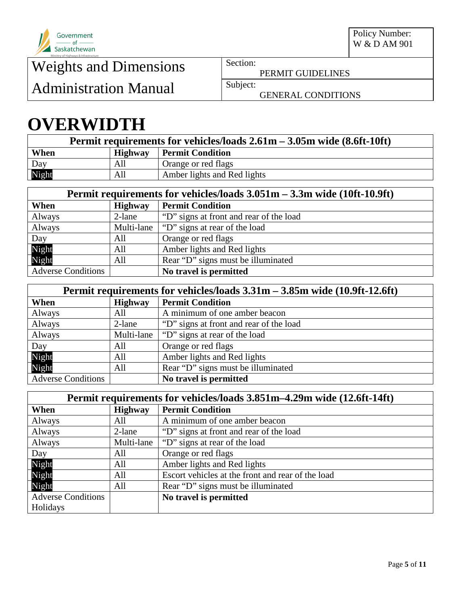

PERMIT GUIDELINES

Administration Manual Subject:

GENERAL CONDITIONS

## **OVERWIDTH**

| Permit requirements for vehicles/loads $2.61m - 3.05m$ wide $(8.6ft-10ft)$ |         |                             |
|----------------------------------------------------------------------------|---------|-----------------------------|
| When                                                                       | Highway | <b>Permit Condition</b>     |
|                                                                            | All     | Orange or red flags         |
| Day<br>Night                                                               | All     | Amber lights and Red lights |

| Permit requirements for vehicles/loads 3.051m – 3.3m wide (10ft-10.9ft) |                |                                         |
|-------------------------------------------------------------------------|----------------|-----------------------------------------|
| When                                                                    | <b>Highway</b> | <b>Permit Condition</b>                 |
| Always                                                                  | 2-lane         | "D" signs at front and rear of the load |
| Always                                                                  | Multi-lane     | "D" signs at rear of the load           |
| Day                                                                     | All            | Orange or red flags                     |
| Night                                                                   | All            | Amber lights and Red lights             |
| Night                                                                   | All            | Rear "D" signs must be illuminated      |
| <b>Adverse Conditions</b>                                               |                | No travel is permitted                  |

| Permit requirements for vehicles/loads $3.31m - 3.85m$ wide (10.9ft-12.6ft) |                |                                         |
|-----------------------------------------------------------------------------|----------------|-----------------------------------------|
| When                                                                        | <b>Highway</b> | <b>Permit Condition</b>                 |
| Always                                                                      | All            | A minimum of one amber beacon           |
| Always                                                                      | 2-lane         | "D" signs at front and rear of the load |
| Always                                                                      | Multi-lane     | "D" signs at rear of the load           |
| Day                                                                         | All            | Orange or red flags                     |
| Night                                                                       | All            | Amber lights and Red lights             |
| Night                                                                       | All            | Rear "D" signs must be illuminated      |
| <b>Adverse Conditions</b>                                                   |                | No travel is permitted                  |

| Permit requirements for vehicles/loads 3.851m-4.29m wide (12.6ft-14ft) |                |                                                   |
|------------------------------------------------------------------------|----------------|---------------------------------------------------|
| When                                                                   | <b>Highway</b> | <b>Permit Condition</b>                           |
| Always                                                                 | All            | A minimum of one amber beacon                     |
| Always                                                                 | 2-lane         | "D" signs at front and rear of the load           |
| Always                                                                 | Multi-lane     | "D" signs at rear of the load"                    |
| Day                                                                    | All            | Orange or red flags                               |
| Night                                                                  | All            | Amber lights and Red lights                       |
| Night                                                                  | All            | Escort vehicles at the front and rear of the load |
| Night                                                                  | All            | Rear "D" signs must be illuminated                |
| <b>Adverse Conditions</b>                                              |                | No travel is permitted                            |
| Holidays                                                               |                |                                                   |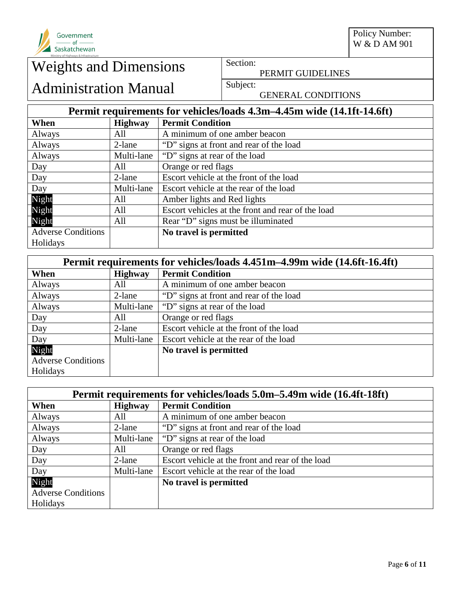

PERMIT GUIDELINES

## Administration Manual Subject:

GENERAL CONDITIONS

## **Permit requirements for vehicles/loads 4.3m–4.45m wide (14.1ft-14.6ft)**

| When                      | <b>Highway</b> | <b>Permit Condition</b>                           |
|---------------------------|----------------|---------------------------------------------------|
| Always                    | All            | A minimum of one amber beacon                     |
| Always                    | 2-lane         | "D" signs at front and rear of the load           |
| Always                    | Multi-lane     | "D" signs at rear of the load"                    |
| Day                       | All            | Orange or red flags                               |
| Day                       | 2-lane         | Escort vehicle at the front of the load           |
| Day                       | Multi-lane     | Escort vehicle at the rear of the load            |
| Night                     | All            | Amber lights and Red lights                       |
| Night                     | All            | Escort vehicles at the front and rear of the load |
| Night                     | All            | Rear "D" signs must be illuminated                |
| <b>Adverse Conditions</b> |                | No travel is permitted                            |
| Holidays                  |                |                                                   |

| Permit requirements for vehicles/loads 4.451m-4.99m wide (14.6ft-16.4ft) |                |                                         |
|--------------------------------------------------------------------------|----------------|-----------------------------------------|
| When                                                                     | <b>Highway</b> | <b>Permit Condition</b>                 |
| Always                                                                   | All            | A minimum of one amber beacon           |
| Always                                                                   | 2-lane         | "D" signs at front and rear of the load |
| Always                                                                   | Multi-lane     | "D" signs at rear of the load           |
| Day                                                                      | All            | Orange or red flags                     |
| Day                                                                      | 2-lane         | Escort vehicle at the front of the load |
| Day                                                                      | Multi-lane     | Escort vehicle at the rear of the load  |
| Night                                                                    |                | No travel is permitted                  |
| <b>Adverse Conditions</b>                                                |                |                                         |
| Holidays                                                                 |                |                                         |

| Permit requirements for vehicles/loads 5.0m–5.49m wide (16.4ft-18ft) |                |                                                  |
|----------------------------------------------------------------------|----------------|--------------------------------------------------|
| When                                                                 | <b>Highway</b> | <b>Permit Condition</b>                          |
| Always                                                               | All            | A minimum of one amber beacon                    |
| Always                                                               | 2-lane         | "D" signs at front and rear of the load          |
| Always                                                               | Multi-lane     | "D" signs at rear of the load                    |
| Day                                                                  | All            | Orange or red flags                              |
| Day                                                                  | 2-lane         | Escort vehicle at the front and rear of the load |
| Day                                                                  | Multi-lane     | Escort vehicle at the rear of the load           |
| Night                                                                |                | No travel is permitted                           |
| <b>Adverse Conditions</b>                                            |                |                                                  |
| Holidays                                                             |                |                                                  |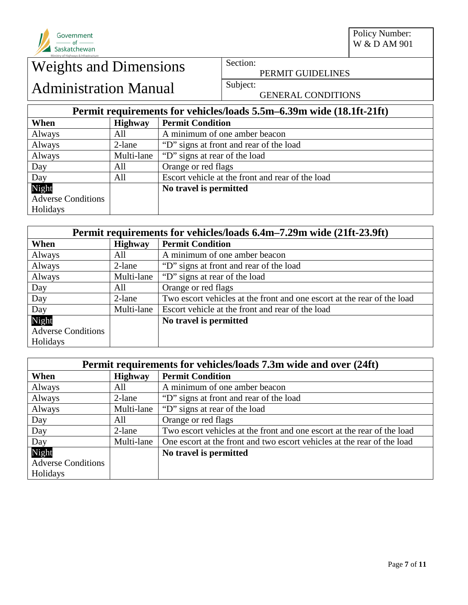

PERMIT GUIDELINES

## Administration Manual Subject:

GENERAL CONDITIONS

## **Permit requirements for vehicles/loads 5.5m–6.39m wide (18.1ft-21ft)**

| When                      | <b>Highway</b> | <b>Permit Condition</b>                          |
|---------------------------|----------------|--------------------------------------------------|
| Always                    | All            | A minimum of one amber beacon                    |
| Always                    | 2-lane         | "D" signs at front and rear of the load          |
| Always                    | Multi-lane     | "D" signs at rear of the load"                   |
| Day                       | All            | Orange or red flags                              |
| Day                       | All            | Escort vehicle at the front and rear of the load |
| Night                     |                | No travel is permitted                           |
| <b>Adverse Conditions</b> |                |                                                  |
| Holidays                  |                |                                                  |

| Permit requirements for vehicles/loads 6.4m–7.29m wide (21ft-23.9ft) |                |                                                                         |
|----------------------------------------------------------------------|----------------|-------------------------------------------------------------------------|
| When                                                                 | <b>Highway</b> | <b>Permit Condition</b>                                                 |
| Always                                                               | All            | A minimum of one amber beacon                                           |
| Always                                                               | 2-lane         | "D" signs at front and rear of the load                                 |
| Always                                                               | Multi-lane     | "D" signs at rear of the load                                           |
| Day                                                                  | All            | Orange or red flags                                                     |
| Day                                                                  | 2-lane         | Two escort vehicles at the front and one escort at the rear of the load |
| Day                                                                  | Multi-lane     | Escort vehicle at the front and rear of the load                        |
| Night                                                                |                | No travel is permitted                                                  |
| <b>Adverse Conditions</b>                                            |                |                                                                         |
| Holidays                                                             |                |                                                                         |

| Permit requirements for vehicles/loads 7.3m wide and over (24ft) |                |                                                                         |
|------------------------------------------------------------------|----------------|-------------------------------------------------------------------------|
| When                                                             | <b>Highway</b> | <b>Permit Condition</b>                                                 |
| Always                                                           | All            | A minimum of one amber beacon                                           |
| Always                                                           | 2-lane         | "D" signs at front and rear of the load                                 |
| Always                                                           | Multi-lane     | "D" signs at rear of the load                                           |
| Day                                                              | All            | Orange or red flags                                                     |
| Day                                                              | 2-lane         | Two escort vehicles at the front and one escort at the rear of the load |
| Day                                                              | Multi-lane     | One escort at the front and two escort vehicles at the rear of the load |
| Night                                                            |                | No travel is permitted                                                  |
| <b>Adverse Conditions</b>                                        |                |                                                                         |
| Holidays                                                         |                |                                                                         |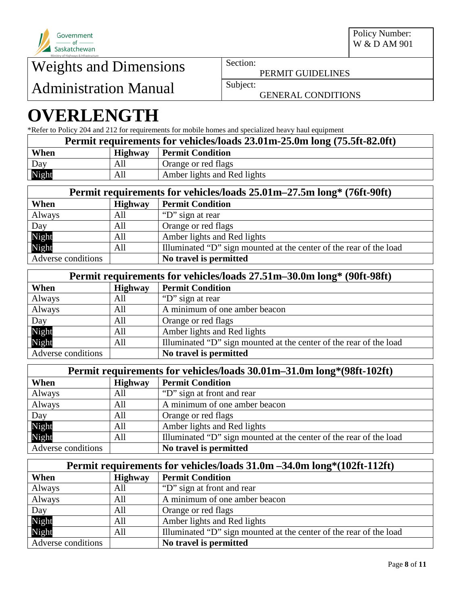

Administration Manual Subject:

PERMIT GUIDELINES

GENERAL CONDITIONS

# **OVERLENGTH**

\*Refer to Policy 204 and 212 for requirements for mobile homes and specialized heavy haul equipment

| Permit requirements for vehicles/loads 23.01m-25.0m long (75.5ft-82.0ft) |                |                             |
|--------------------------------------------------------------------------|----------------|-----------------------------|
| When                                                                     | <b>Highway</b> | <b>Permit Condition</b>     |
| Day                                                                      | All            | Orange or red flags         |
| Night                                                                    | All            | Amber lights and Red lights |

| Permit requirements for vehicles/loads 25.01m-27.5m long* (76ft-90ft) |                |                                                                    |
|-----------------------------------------------------------------------|----------------|--------------------------------------------------------------------|
| When                                                                  | <b>Highway</b> | <b>Permit Condition</b>                                            |
| Always                                                                | All            | "D" sign at rear"                                                  |
| Day                                                                   | All            | Orange or red flags                                                |
|                                                                       | All            | Amber lights and Red lights                                        |
| Night<br>Night                                                        | All            | Illuminated "D" sign mounted at the center of the rear of the load |
| Adverse conditions                                                    |                | No travel is permitted                                             |

| Permit requirements for vehicles/loads 27.51m-30.0m long* (90ft-98ft) |                |                                                                    |
|-----------------------------------------------------------------------|----------------|--------------------------------------------------------------------|
| When                                                                  | <b>Highway</b> | <b>Permit Condition</b>                                            |
| Always                                                                | All            | "D" sign at rear"                                                  |
| Always                                                                | All            | A minimum of one amber beacon                                      |
| Day                                                                   | All            | Orange or red flags                                                |
| Night                                                                 | All            | Amber lights and Red lights                                        |
| Night                                                                 | All            | Illuminated "D" sign mounted at the center of the rear of the load |
| Adverse conditions                                                    |                | No travel is permitted                                             |

| Permit requirements for vehicles/loads 30.01m-31.0m long*(98ft-102ft) |                |                                                                    |
|-----------------------------------------------------------------------|----------------|--------------------------------------------------------------------|
| When                                                                  | <b>Highway</b> | <b>Permit Condition</b>                                            |
| Always                                                                | All            | "D" sign at front and rear"                                        |
| Always                                                                | All            | A minimum of one amber beacon                                      |
| Day                                                                   | All            | Orange or red flags                                                |
|                                                                       | All            | Amber lights and Red lights                                        |
| Night<br>Night                                                        | All            | Illuminated "D" sign mounted at the center of the rear of the load |
| Adverse conditions                                                    |                | No travel is permitted                                             |

| Permit requirements for vehicles/loads 31.0m -34.0m long*(102ft-112ft) |                |                                                                    |
|------------------------------------------------------------------------|----------------|--------------------------------------------------------------------|
| When                                                                   | <b>Highway</b> | <b>Permit Condition</b>                                            |
| Always                                                                 | All            | "D" sign at front and rear                                         |
| Always                                                                 | All            | A minimum of one amber beacon                                      |
| Day                                                                    | All            | Orange or red flags                                                |
| Night<br>Night                                                         | All            | Amber lights and Red lights                                        |
|                                                                        | All            | Illuminated "D" sign mounted at the center of the rear of the load |
| Adverse conditions                                                     |                | No travel is permitted                                             |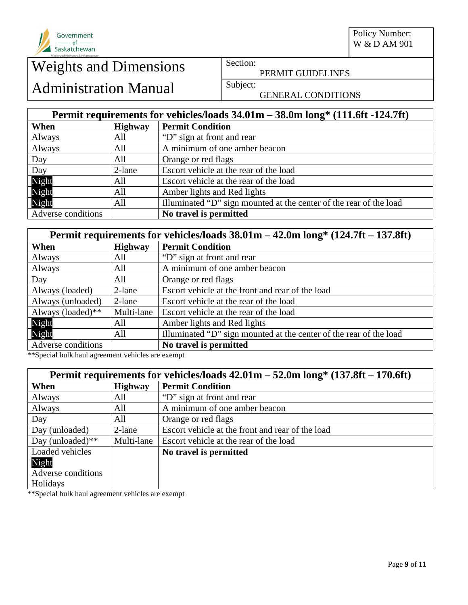

Policy Number: W & D AM 901

# Weights and Dimensions Section:

PERMIT GUIDELINES

## Administration Manual Subject:

GENERAL CONDITIONS

## **Permit requirements for vehicles/loads 34.01m – 38.0m long\* (111.6ft -124.7ft)**

| When               | <b>Highway</b> | <b>Permit Condition</b>                                            |  |
|--------------------|----------------|--------------------------------------------------------------------|--|
| Always             | All            | "D" sign at front and rear"                                        |  |
| Always             | All            | A minimum of one amber beacon                                      |  |
| Day                | All            | Orange or red flags                                                |  |
| Day                | 2-lane         | Escort vehicle at the rear of the load                             |  |
| Night              | All            | Escort vehicle at the rear of the load                             |  |
| Night              | All            | Amber lights and Red lights                                        |  |
| Night              | All            | Illuminated "D" sign mounted at the center of the rear of the load |  |
| Adverse conditions |                | No travel is permitted                                             |  |

| Permit requirements for vehicles/loads $38.01\text{m} - 42.0\text{m}$ long* $(124.7\text{ft} - 137.8\text{ft})$ |                |                                                                    |  |
|-----------------------------------------------------------------------------------------------------------------|----------------|--------------------------------------------------------------------|--|
| When                                                                                                            | <b>Highway</b> | <b>Permit Condition</b>                                            |  |
| Always                                                                                                          | All            | "D" sign at front and rear"                                        |  |
| Always                                                                                                          | All            | A minimum of one amber beacon                                      |  |
| Day                                                                                                             | All            | Orange or red flags                                                |  |
| Always (loaded)                                                                                                 | 2-lane         | Escort vehicle at the front and rear of the load                   |  |
| Always (unloaded)                                                                                               | 2-lane         | Escort vehicle at the rear of the load                             |  |
| Always (loaded)**                                                                                               | Multi-lane     | Escort vehicle at the rear of the load                             |  |
| Night                                                                                                           | All            | Amber lights and Red lights                                        |  |
| Night                                                                                                           | All            | Illuminated "D" sign mounted at the center of the rear of the load |  |
| Adverse conditions                                                                                              |                | No travel is permitted                                             |  |

\*\*Special bulk haul agreement vehicles are exempt

| Permit requirements for vehicles/loads $42.01\text{m} - 52.0\text{m}$ long* $(137.8\text{ft} - 170.6\text{ft})$ |                |                                                  |  |
|-----------------------------------------------------------------------------------------------------------------|----------------|--------------------------------------------------|--|
| When                                                                                                            | <b>Highway</b> | <b>Permit Condition</b>                          |  |
| Always                                                                                                          | All            | "D" sign at front and rear"                      |  |
| Always                                                                                                          | All            | A minimum of one amber beacon                    |  |
| Day                                                                                                             | All            | Orange or red flags                              |  |
| Day (unloaded)                                                                                                  | $2$ -lane      | Escort vehicle at the front and rear of the load |  |
| Day (unloaded) $**$                                                                                             | Multi-lane     | Escort vehicle at the rear of the load           |  |
| Loaded vehicles                                                                                                 |                | No travel is permitted                           |  |
| Night                                                                                                           |                |                                                  |  |
| Adverse conditions                                                                                              |                |                                                  |  |
| Holidays                                                                                                        |                |                                                  |  |

\*\*Special bulk haul agreement vehicles are exempt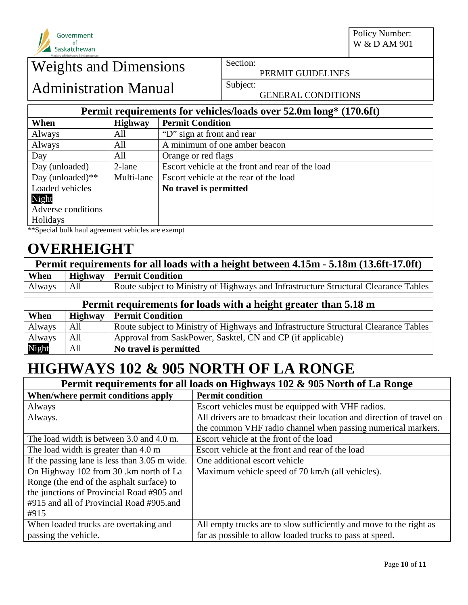

PERMIT GUIDELINES

Administration Manual Subject:

GENERAL CONDITIONS

## **Permit requirements for vehicles/loads over 52.0m long\* (170.6ft)**

| When                | <b>Highway</b> | <b>Permit Condition</b>                          |
|---------------------|----------------|--------------------------------------------------|
| Always              | All            | "D" sign at front and rear"                      |
| Always              | All            | A minimum of one amber beacon                    |
| Day                 | All            | Orange or red flags                              |
| Day (unloaded)      | $2$ -lane      | Escort vehicle at the front and rear of the load |
| Day (unloaded) $**$ | Multi-lane     | Escort vehicle at the rear of the load           |
| Loaded vehicles     |                | No travel is permitted                           |
| Night               |                |                                                  |
| Adverse conditions  |                |                                                  |
| Holidays            |                |                                                  |

\*\*Special bulk haul agreement vehicles are exempt

## **OVERHEIGHT**

| Permit requirements for all loads with a height between 4.15m - 5.18m (13.6ft-17.0ft) |  |                                                                                      |
|---------------------------------------------------------------------------------------|--|--------------------------------------------------------------------------------------|
| When                                                                                  |  | Highway   Permit Condition                                                           |
| Always All                                                                            |  | Route subject to Ministry of Highways and Infrastructure Structural Clearance Tables |

| Permit requirements for loads with a height greater than 5.18 m |                                           |                                                                                      |  |
|-----------------------------------------------------------------|-------------------------------------------|--------------------------------------------------------------------------------------|--|
| When                                                            | <b>Highway</b><br><b>Permit Condition</b> |                                                                                      |  |
| Always                                                          | All                                       | Route subject to Ministry of Highways and Infrastructure Structural Clearance Tables |  |
| Always                                                          | All                                       | Approval from SaskPower, Sasktel, CN and CP (if applicable)                          |  |
| Night                                                           | All                                       | No travel is permitted                                                               |  |

## **HIGHWAYS 102 & 905 NORTH OF LA RONGE**

| Permit requirements for all loads on Highways 102 & 905 North of La Ronge |                                                                        |  |  |
|---------------------------------------------------------------------------|------------------------------------------------------------------------|--|--|
| When/where permit conditions apply                                        | <b>Permit condition</b>                                                |  |  |
| Always                                                                    | Escort vehicles must be equipped with VHF radios.                      |  |  |
| Always.                                                                   | All drivers are to broadcast their location and direction of travel on |  |  |
|                                                                           | the common VHF radio channel when passing numerical markers.           |  |  |
| The load width is between 3.0 and 4.0 m.                                  | Escort vehicle at the front of the load                                |  |  |
| The load width is greater than 4.0 m                                      | Escort vehicle at the front and rear of the load                       |  |  |
| If the passing lane is less than 3.05 m wide.                             | One additional escort vehicle                                          |  |  |
| On Highway 102 from 30 .km north of La                                    | Maximum vehicle speed of 70 km/h (all vehicles).                       |  |  |
| Ronge (the end of the asphalt surface) to                                 |                                                                        |  |  |
| the junctions of Provincial Road #905 and                                 |                                                                        |  |  |
| #915 and all of Provincial Road #905.and                                  |                                                                        |  |  |
| #915                                                                      |                                                                        |  |  |
| When loaded trucks are overtaking and                                     | All empty trucks are to slow sufficiently and move to the right as     |  |  |
| passing the vehicle.                                                      | far as possible to allow loaded trucks to pass at speed.               |  |  |